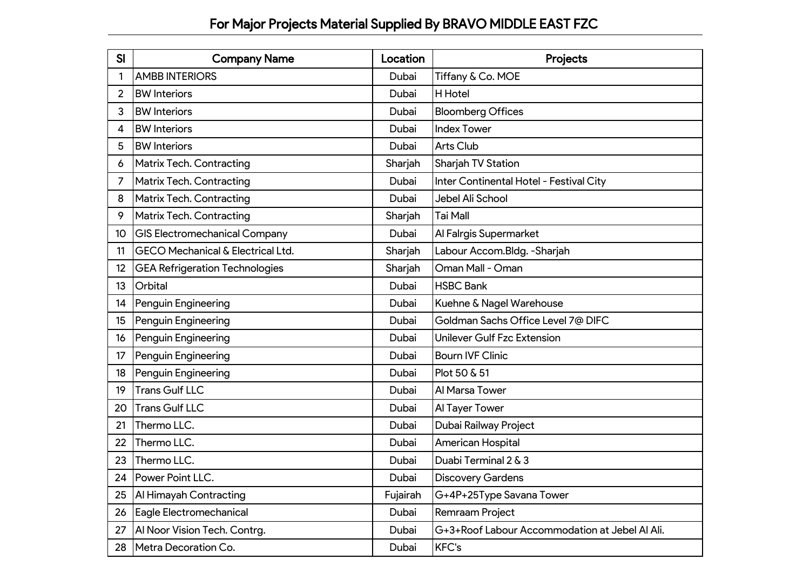| SI              | <b>Company Name</b>                          | Location | Projects                                       |
|-----------------|----------------------------------------------|----------|------------------------------------------------|
|                 | <b>AMBB INTERIORS</b>                        | Dubai    | Tiffany & Co. MOE                              |
| 2               | <b>BW</b> Interiors                          | Dubai    | H Hotel                                        |
| 3               | <b>BW</b> Interiors                          | Dubai    | <b>Bloomberg Offices</b>                       |
| 4               | <b>BW</b> Interiors                          | Dubai    | <b>Index Tower</b>                             |
| 5               | <b>BW</b> Interiors                          | Dubai    | <b>Arts Club</b>                               |
| 6               | <b>Matrix Tech. Contracting</b>              | Sharjah  | Sharjah TV Station                             |
| 7               | <b>Matrix Tech. Contracting</b>              | Dubai    | Inter Continental Hotel - Festival City        |
| 8               | <b>Matrix Tech. Contracting</b>              | Dubai    | Jebel Ali School                               |
| 9               | <b>Matrix Tech. Contracting</b>              | Sharjah  | <b>Tai Mall</b>                                |
| 10 <sup>°</sup> | <b>GIS Electromechanical Company</b>         | Dubai    | Al Falrgis Supermarket                         |
| 11              | <b>GECO Mechanical &amp; Electrical Ltd.</b> | Sharjah  | Labour Accom.Bldg. - Sharjah                   |
| 12              | <b>GEA Refrigeration Technologies</b>        | Sharjah  | Oman Mall - Oman                               |
| 13              | Orbital                                      | Dubai    | <b>HSBC Bank</b>                               |
| 14              | Penguin Engineering                          | Dubai    | Kuehne & Nagel Warehouse                       |
| 15              | Penguin Engineering                          | Dubai    | Goldman Sachs Office Level 7@ DIFC             |
| 16              | Penguin Engineering                          | Dubai    | <b>Unilever Gulf Fzc Extension</b>             |
| 17              | Penguin Engineering                          | Dubai    | <b>Bourn IVF Clinic</b>                        |
| 18              | Penguin Engineering                          | Dubai    | Plot 50 & 51                                   |
| 19              | <b>Trans Gulf LLC</b>                        | Dubai    | Al Marsa Tower                                 |
| 20              | <b>Trans Gulf LLC</b>                        | Dubai    | Al Tayer Tower                                 |
| 21              | Thermo LLC.                                  | Dubai    | Dubai Railway Project                          |
| 22              | Thermo LLC.                                  | Dubai    | American Hospital                              |
| 23              | Thermo LLC.                                  | Dubai    | Duabi Terminal 2 & 3                           |
| 24              | Power Point LLC.                             | Dubai    | <b>Discovery Gardens</b>                       |
| 25              | Al Himayah Contracting                       | Fujairah | G+4P+25Type Savana Tower                       |
| 26              | Eagle Electromechanical                      | Dubai    | Remraam Project                                |
| 27              | Al Noor Vision Tech. Contrg.                 | Dubai    | G+3+Roof Labour Accommodation at Jebel Al Ali. |
| 28              | Metra Decoration Co.                         | Dubai    | <b>KFC's</b>                                   |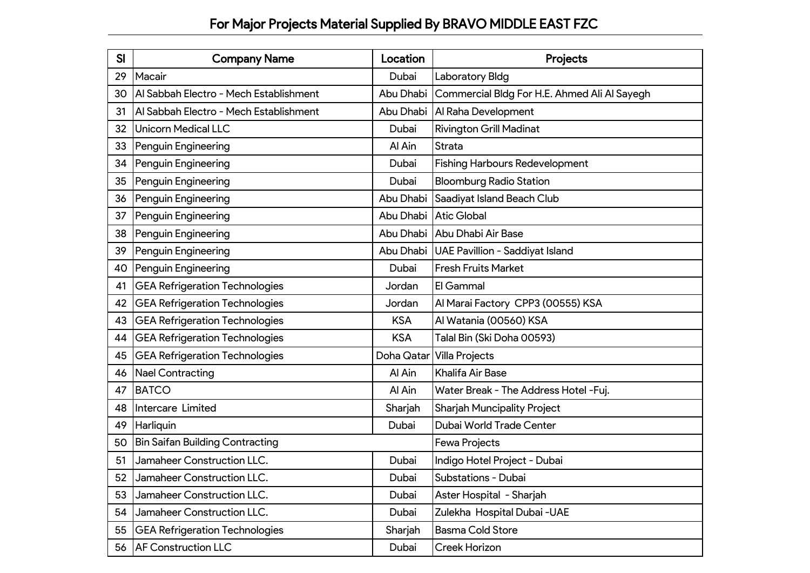| <b>SI</b> | <b>Company Name</b>                    | Location   | Projects                                     |
|-----------|----------------------------------------|------------|----------------------------------------------|
| 29        | Macair                                 | Dubai      | Laboratory Bldg                              |
| 30        | Al Sabbah Electro - Mech Establishment | Abu Dhabi  | Commercial Bldg For H.E. Ahmed Ali Al Sayegh |
| 31        | Al Sabbah Electro - Mech Establishment | Abu Dhabi  | Al Raha Development                          |
| 32        | <b>Unicorn Medical LLC</b>             | Dubai      | <b>Rivington Grill Madinat</b>               |
| 33        | Penguin Engineering                    | Al Ain     | <b>Strata</b>                                |
| 34        | Penguin Engineering                    | Dubai      | <b>Fishing Harbours Redevelopment</b>        |
| 35        | Penguin Engineering                    | Dubai      | <b>Bloomburg Radio Station</b>               |
| 36        | Penguin Engineering                    | Abu Dhabi  | Saadiyat Island Beach Club                   |
| 37        | Penguin Engineering                    | Abu Dhabi  | <b>Atic Global</b>                           |
| 38        | Penguin Engineering                    | Abu Dhabi  | Abu Dhabi Air Base                           |
| 39        | Penguin Engineering                    | Abu Dhabi  | UAE Pavillion - Saddiyat Island              |
| 40        | Penguin Engineering                    | Dubai      | <b>Fresh Fruits Market</b>                   |
| 41        | <b>GEA Refrigeration Technologies</b>  | Jordan     | El Gammal                                    |
| 42        | <b>GEA Refrigeration Technologies</b>  | Jordan     | Al Marai Factory CPP3 (00555) KSA            |
| 43        | <b>GEA Refrigeration Technologies</b>  | <b>KSA</b> | Al Watania (00560) KSA                       |
| 44        | <b>GEA Refrigeration Technologies</b>  | <b>KSA</b> | Talal Bin (Ski Doha 00593)                   |
| 45        | <b>GEA Refrigeration Technologies</b>  | Doha Qatar | <b>Villa Projects</b>                        |
| 46        | <b>Nael Contracting</b>                | Al Ain     | Khalifa Air Base                             |
| 47        | <b>BATCO</b>                           | Al Ain     | Water Break - The Address Hotel - Fuj.       |
| 48        | Intercare Limited                      | Sharjah    | <b>Sharjah Muncipality Project</b>           |
| 49        | Harliquin                              | Dubai      | Dubai World Trade Center                     |
| 50        | <b>Bin Saifan Building Contracting</b> |            | <b>Fewa Projects</b>                         |
| 51        | Jamaheer Construction LLC.             | Dubai      | Indigo Hotel Project - Dubai                 |
| 52        | Jamaheer Construction LLC.             | Dubai      | Substations - Dubai                          |
| 53        | Jamaheer Construction LLC.             | Dubai      | Aster Hospital - Sharjah                     |
| 54        | Jamaheer Construction LLC.             | Dubai      | Zulekha Hospital Dubai - UAE                 |
| 55        | <b>GEA Refrigeration Technologies</b>  | Sharjah    | <b>Basma Cold Store</b>                      |
|           | 56   AF Construction LLC               | Dubai      | Creek Horizon                                |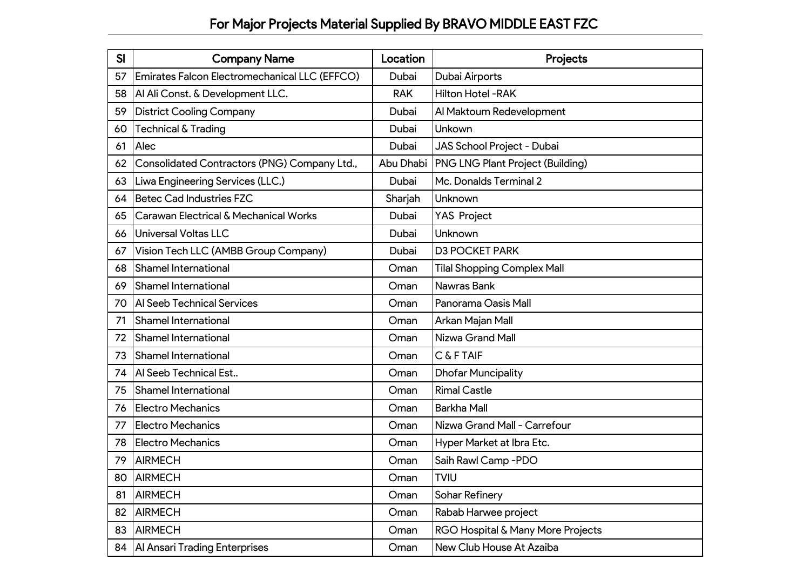| SI | <b>Company Name</b>                           | Location   | Projects                                |
|----|-----------------------------------------------|------------|-----------------------------------------|
| 57 | Emirates Falcon Electromechanical LLC (EFFCO) | Dubai      | Dubai Airports                          |
| 58 | Al Ali Const. & Development LLC.              | <b>RAK</b> | Hilton Hotel - RAK                      |
| 59 | <b>District Cooling Company</b>               | Dubai      | Al Maktoum Redevelopment                |
| 60 | Technical & Trading                           | Dubai      | Unkown                                  |
| 61 | Alec                                          | Dubai      | JAS School Project - Dubai              |
| 62 | Consolidated Contractors (PNG) Company Ltd.,  | Abu Dhabi  | <b>PNG LNG Plant Project (Building)</b> |
| 63 | Liwa Engineering Services (LLC.)              | Dubai      | Mc. Donalds Terminal 2                  |
| 64 | <b>Betec Cad Industries FZC</b>               | Sharjah    | Unknown                                 |
| 65 | Carawan Electrical & Mechanical Works         | Dubai      | <b>YAS Project</b>                      |
| 66 | <b>Universal Voltas LLC</b>                   | Dubai      | Unknown                                 |
| 67 | Vision Tech LLC (AMBB Group Company)          | Dubai      | <b>D3 POCKET PARK</b>                   |
| 68 | <b>Shamel International</b>                   | Oman       | <b>Tilal Shopping Complex Mall</b>      |
| 69 | <b>Shamel International</b>                   | Oman       | Nawras Bank                             |
| 70 | Al Seeb Technical Services                    | Oman       | Panorama Oasis Mall                     |
| 71 | <b>Shamel International</b>                   | Oman       | Arkan Majan Mall                        |
| 72 | <b>Shamel International</b>                   | Oman       | Nizwa Grand Mall                        |
| 73 | <b>Shamel International</b>                   | Oman       | C & F TAIF                              |
| 74 | Al Seeb Technical Est                         | Oman       | <b>Dhofar Muncipality</b>               |
| 75 | <b>Shamel International</b>                   | Oman       | <b>Rimal Castle</b>                     |
| 76 | <b>Electro Mechanics</b>                      | Oman       | <b>Barkha Mall</b>                      |
| 77 | <b>Electro Mechanics</b>                      | Oman       | Nizwa Grand Mall - Carrefour            |
| 78 | <b>Electro Mechanics</b>                      | Oman       | Hyper Market at Ibra Etc.               |
| 79 | <b>AIRMECH</b>                                | Oman       | Saih Rawl Camp - PDO                    |
| 80 | AIRMECH                                       | Oman       | <b>TVIU</b>                             |
| 81 | <b>AIRMECH</b>                                | Oman       | Sohar Refinery                          |
| 82 | <b>AIRMECH</b>                                | Oman       | Rabab Harwee project                    |
| 83 | <b>AIRMECH</b>                                | Oman       | RGO Hospital & Many More Projects       |
|    | 84   Al Ansari Trading Enterprises            | Oman       | New Club House At Azaiba                |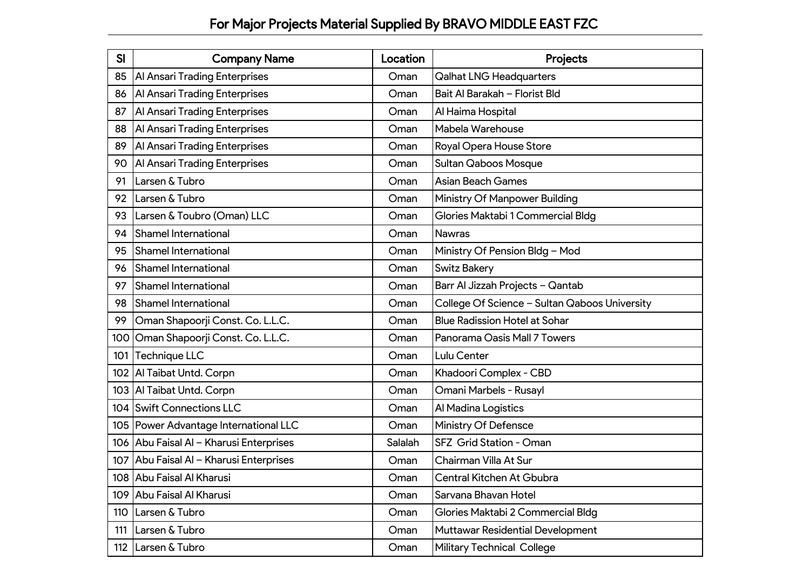| SI  | <b>Company Name</b>                     | Location | Projects                                      |
|-----|-----------------------------------------|----------|-----------------------------------------------|
| 85  | <b>Al Ansari Trading Enterprises</b>    | Oman     | <b>Qalhat LNG Headquarters</b>                |
| 86  | Al Ansari Trading Enterprises           | Oman     | Bait Al Barakah - Florist Bld                 |
| 87  | <b>Al Ansari Trading Enterprises</b>    | Oman     | Al Haima Hospital                             |
| 88  | <b>Al Ansari Trading Enterprises</b>    | Oman     | Mabela Warehouse                              |
| 89  | <b>Al Ansari Trading Enterprises</b>    | Oman     | Royal Opera House Store                       |
| 90  | <b>Al Ansari Trading Enterprises</b>    | Oman     | <b>Sultan Qaboos Mosque</b>                   |
| 91  | Larsen & Tubro                          | Oman     | <b>Asian Beach Games</b>                      |
| 92  | Larsen & Tubro                          | Oman     | Ministry Of Manpower Building                 |
| 93  | Larsen & Toubro (Oman) LLC              | Oman     | Glories Maktabi 1 Commercial Bldg             |
| 94  | <b>Shamel International</b>             | Oman     | <b>Nawras</b>                                 |
| 95  | <b>Shamel International</b>             | Oman     | Ministry Of Pension Bldg - Mod                |
| 96  | <b>Shamel International</b>             | Oman     | <b>Switz Bakery</b>                           |
| 97  | <b>Shamel International</b>             | Oman     | Barr Al Jizzah Projects - Qantab              |
| 98  | <b>Shamel International</b>             | Oman     | College Of Science - Sultan Qaboos University |
| 99  | Oman Shapoorji Const. Co. L.L.C.        | Oman     | <b>Blue Radission Hotel at Sohar</b>          |
| 100 | Oman Shapoorji Const. Co. L.L.C.        | Oman     | Panorama Oasis Mall 7 Towers                  |
| 101 | Technique LLC                           | Oman     | Lulu Center                                   |
|     | 102   Al Taibat Untd. Corpn             | Oman     | Khadoori Complex - CBD                        |
| 103 | Al Taibat Untd. Corpn                   | Oman     | Omani Marbels - Rusayl                        |
|     | 104 Swift Connections LLC               | Oman     | Al Madina Logistics                           |
|     | 105   Power Advantage International LLC | Oman     | Ministry Of Defensce                          |
|     | 106 Abu Faisal Al - Kharusi Enterprises | Salalah  | SFZ Grid Station - Oman                       |
| 107 | Abu Faisal Al - Kharusi Enterprises     | Oman     | Chairman Villa At Sur                         |
|     | 108 Abu Faisal Al Kharusi               | Oman     | Central Kitchen At Gbubra                     |
|     | 109 Abu Faisal Al Kharusi               | Oman     | Sarvana Bhavan Hotel                          |
| 110 | Larsen & Tubro                          | Oman     | Glories Maktabi 2 Commercial Bldg             |
| 111 | Larsen & Tubro                          | Oman     | <b>Muttawar Residential Development</b>       |
|     | 112 Larsen & Tubro                      | Oman     | <b>Military Technical College</b>             |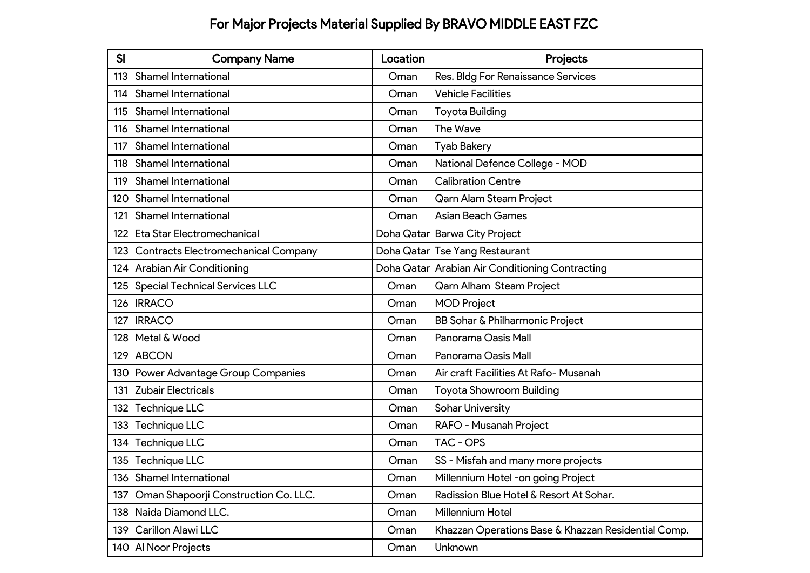| <b>SI</b> | <b>Company Name</b>                        | Location   | <b>Projects</b>                                     |
|-----------|--------------------------------------------|------------|-----------------------------------------------------|
| 113       | <b>Shamel International</b>                | Oman       | Res. Bldg For Renaissance Services                  |
| 114       | <b>Shamel International</b>                | Oman       | <b>Vehicle Facilities</b>                           |
| 115       | <b>Shamel International</b>                | Oman       | Toyota Building                                     |
| 116       | <b>Shamel International</b>                | Oman       | The Wave                                            |
| 117       | Shamel International                       | Oman       | <b>Tyab Bakery</b>                                  |
| 118       | Shamel International                       | Oman       | National Defence College - MOD                      |
| 119       | Shamel International                       | Oman       | <b>Calibration Centre</b>                           |
| 120       | Shamel International                       | Oman       | Qarn Alam Steam Project                             |
| 121       | <b>Shamel International</b>                | Oman       | <b>Asian Beach Games</b>                            |
| 122       | <b>Eta Star Electromechanical</b>          | Doha Qatar | <b>Barwa City Project</b>                           |
| 123       | <b>Contracts Electromechanical Company</b> |            | Doha Qatar Tse Yang Restaurant                      |
| 124       | Arabian Air Conditioning                   |            | Doha Qatar Arabian Air Conditioning Contracting     |
| 125       | <b>Special Technical Services LLC</b>      | Oman       | Qarn Alham Steam Project                            |
| 126       | <b>IRRACO</b>                              | Oman       | <b>MOD Project</b>                                  |
| 127       | <b>IRRACO</b>                              | Oman       | BB Sohar & Philharmonic Project                     |
| 128       | Metal & Wood                               | Oman       | Panorama Oasis Mall                                 |
| 129       | <b>ABCON</b>                               | Oman       | Panorama Oasis Mall                                 |
| 130       | Power Advantage Group Companies            | Oman       | Air craft Facilities At Rafo-Musanah                |
| 131       | Zubair Electricals                         | Oman       | Toyota Showroom Building                            |
| 132       | Technique LLC                              | Oman       | <b>Sohar University</b>                             |
| 133       | Technique LLC                              | Oman       | RAFO - Musanah Project                              |
| 134       | Technique LLC                              | Oman       | TAC - OPS                                           |
| 135       | Technique LLC                              | Oman       | SS - Misfah and many more projects                  |
|           | 136 Shamel International                   | Oman       | Millennium Hotel -on going Project                  |
| 137       | Oman Shapoorji Construction Co. LLC.       | Oman       | Radission Blue Hotel & Resort At Sohar.             |
|           | 138   Naida Diamond LLC.                   | Oman       | Millennium Hotel                                    |
|           | 139 Carillon Alawi LLC                     | Oman       | Khazzan Operations Base & Khazzan Residential Comp. |
|           | 140 Al Noor Projects                       | Oman       | Unknown                                             |